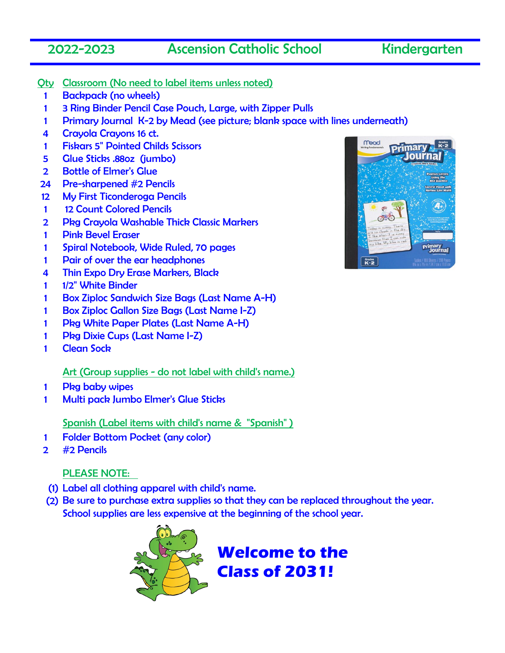## 2022-2023 Ascension Catholic School Kindergarten

- Qty Classroom (No need to label items unless noted)
	- 1 Backpack (no wheels)
	- 1 3 Ring Binder Pencil Case Pouch, Large, with Zipper Pulls
	- 1 Primary Journal K-2 by Mead (see picture; blank space with lines underneath)
	- 4 Crayola Crayons 16 ct.
	- 1 Fiskars 5" Pointed Childs Scissors
	- 5 Glue Sticks .88oz (jumbo)
	- 2 Bottle of Elmer's Glue
- 24 Pre-sharpened #2 Pencils
- 12 My First Ticonderoga Pencils
- 1 12 Count Colored Pencils
- 2 Pkg Crayola Washable Thick Classic Markers
- 1 Pink Bevel Eraser
- 1 Spiral Notebook, Wide Ruled, 70 pages
- 1 Pair of over the ear headphones
- 4 Thin Expo Dry Erase Markers, Black
- 1 1/2" White Binder
- 1 Box Ziploc Sandwich Size Bags (Last Name A-H)
- 1 Box Ziploc Gallon Size Bags (Last Name I-Z)
- 1 Pkg White Paper Plates (Last Name A-H)
- 1 Pkg Dixie Cups (Last Name I-Z)
- 1 Clean Sock

## Art (Group supplies - do not label with child's name.)

- 1 Pkg baby wipes
- 1 Multi pack Jumbo Elmer's Glue Sticks

Spanish (Label items with child's name & "Spanish" )

- 1 Folder Bottom Pocket (any color)
- 2 #2 Pencils

## PLEASE NOTE:

- (1) Label all clothing apparel with child's name.
- (2) Be sure to purchase extra supplies so that they can be replaced throughout the year. School supplies are less expensive at the beginning of the school year.



**Welcome to the Class of 2031!**

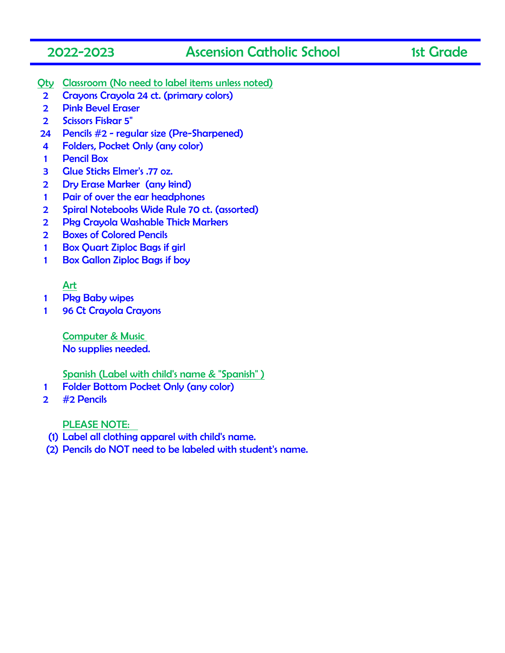## 2022-2023 Ascension Catholic School 1st Grade

- Qty Classroom (No need to label items unless noted)
- 2 Crayons Crayola 24 ct. (primary colors)
- 2 Pink Bevel Eraser
- 2 Scissors Fiskar 5"
- 24 Pencils #2 regular size (Pre-Sharpened)
- 4 Folders, Pocket Only (any color)
- 1 Pencil Box
- 3 Glue Sticks Elmer's .77 oz.
- 2 Dry Erase Marker (any kind)
- 1 Pair of over the ear headphones
- 2 Spiral Notebooks Wide Rule 70 ct. (assorted)
- 2 Pkg Crayola Washable Thick Markers
- 2 Boxes of Colored Pencils
- 1 Box Quart Ziploc Bags if girl
- 1 Box Gallon Ziploc Bags if boy

## Art

- 1 Pkg Baby wipes
- 1 96 Ct Crayola Crayons

Computer & Music No supplies needed.

Spanish (Label with child's name & "Spanish" )

- 1 Folder Bottom Pocket Only (any color)
- 2 #2 Pencils

- (1) Label all clothing apparel with child's name.
- (2) Pencils do NOT need to be labeled with student's name.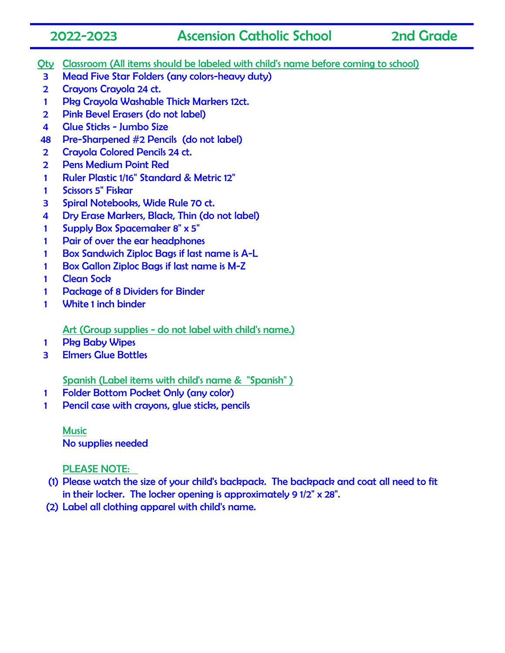## 2022-2023 Ascension Catholic School 2nd Grade

- Qty Classroom (All items should be labeled with child's name before coming to school)
- Mead Five Star Folders (any colors-heavy duty)
- Crayons Crayola 24 ct.
- Pkg Crayola Washable Thick Markers 12ct.
- Pink Bevel Erasers (do not label)
- 4 Glue Sticks Jumbo Size
- Pre-Sharpened #2 Pencils (do not label)
- 2 Crayola Colored Pencils 24 ct.
- Pens Medium Point Red
- Ruler Plastic 1/16" Standard & Metric 12"
- Scissors 5" Fiskar
- Spiral Notebooks, Wide Rule 70 ct.
- Dry Erase Markers, Black, Thin (do not label)
- Supply Box Spacemaker 8" x 5"
- Pair of over the ear headphones
- Box Sandwich Ziploc Bags if last name is A-L
- 1 Box Gallon Ziploc Bags if last name is M-Z
- Clean Sock
- Package of 8 Dividers for Binder
- White 1 inch binder

Art (Group supplies - do not label with child's name.)

- Pkg Baby Wipes
- Elmers Glue Bottles

Spanish (Label items with child's name & "Spanish" )

- Folder Bottom Pocket Only (any color)
- Pencil case with crayons, glue sticks, pencils

**Music** No supplies needed

- (1) Please watch the size of your child's backpack. The backpack and coat all need to fit in their locker. The locker opening is approximately 9 1/2" x 28".
- (2) Label all clothing apparel with child's name.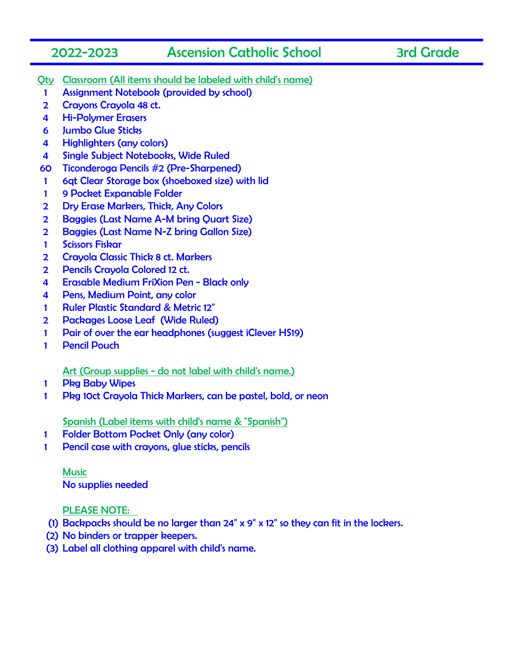## 2022-2023 Ascension Catholic School 3rd Grade

- Qty Classroom (All items should be labeled with child's name)
- 1 Assignment Notebook (provided by school)
- 2 Crayons Crayola 48 ct.
- 4 Hi-Polymer Erasers
- 6 Jumbo Glue Sticks
- 4 Highlighters (any colors)
- 4 Single Subject Notebooks, Wide Ruled
- 60 Ticonderoga Pencils #2 (Pre-Sharpened)
- 1 6qt Clear Storage box (shoeboxed size) with lid
- 1 9 Pocket Expanable Folder
- 2 Dry Erase Markers, Thick, Any Colors
- 2 Baggies (Last Name A-M bring Quart Size)
- 2 Baggies (Last Name N-Z bring Gallon Size)
- 1 Scissors Fiskar
- 2 Crayola Classic Thick 8 ct. Markers
- 2 Pencils Crayola Colored 12 ct.
- 4 Erasable Medium FriXion Pen Black only
- 4 Pens, Medium Point, any color
- 1 Ruler Plastic Standard & Metric 12"
- 2 Packages Loose Leaf (Wide Ruled)
- 1 Pair of over the ear headphones (suggest iClever HS19)
- 1 Pencil Pouch

## Art (Group supplies - do not label with child's name.)

- 1 Pkg Baby Wipes
- 1 Pkg 10ct Crayola Thick Markers, can be pastel, bold, or neon

Spanish (Label items with child's name & "Spanish")

- 1 Folder Bottom Pocket Only (any color)
- 1 Pencil case with crayons, glue sticks, pencils

Music No supplies needed

- (1) Backpacks should be no larger than 24" x 9" x 12" so they can fit in the lockers.
- (2) No binders or trapper keepers.
- (3) Label all clothing apparel with child's name.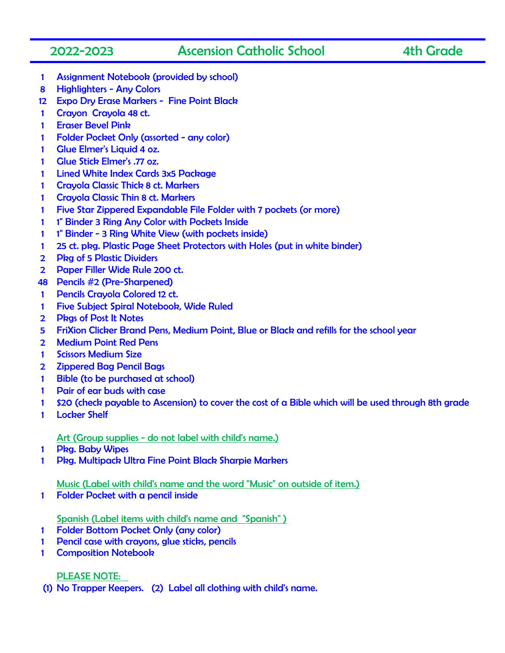## 2022-2023 Ascension Catholic School 4th Grade

- Assignment Notebook (provided by school)
- Highlighters Any Colors
- Expo Dry Erase Markers Fine Point Black
- Crayon Crayola 48 ct.
- Eraser Bevel Pink
- Folder Pocket Only (assorted any color)
- Glue Elmer's Liquid 4 oz.
- Glue Stick Elmer's .77 oz.
- Lined White Index Cards 3x5 Package
- 1 Crayola Classic Thick 8 ct. Markers
- 1 Crayola Classic Thin 8 ct. Markers
- Five Star Zippered Expandable File Folder with 7 pockets (or more)
- 1 1" Binder 3 Ring Any Color with Pockets Inside
- 1" Binder 3 Ring White View (with pockets inside)
- 25 ct. pkg. Plastic Page Sheet Protectors with Holes (put in white binder)
- Pkg of 5 Plastic Dividers
- Paper Filler Wide Rule 200 ct.
- Pencils #2 (Pre-Sharpened)
- Pencils Crayola Colored 12 ct.
- Five Subject Spiral Notebook, Wide Ruled
- Pkgs of Post It Notes
- FriXion Clicker Brand Pens, Medium Point, Blue or Black and refills for the school year
- Medium Point Red Pens
- Scissors Medium Size
- Zippered Bag Pencil Bags
- Bible (to be purchased at school)
- Pair of ear buds with case
- \$20 (check payable to Ascension) to cover the cost of a Bible which will be used through 8th grade
- 1 Locker Shelf

### Art (Group supplies - do not label with child's name.)

- Pkg. Baby Wipes
- Pkg. Multipack Ultra Fine Point Black Sharpie Markers

### Music (Label with child's name and the word "Music" on outside of item.)

1 Folder Pocket with a pencil inside

### Spanish (Label items with child's name and "Spanish" )

- Folder Bottom Pocket Only (any color)
- Pencil case with crayons, glue sticks, pencils
- Composition Notebook

### PLEASE NOTE:

(1) No Trapper Keepers. (2) Label all clothing with child's name.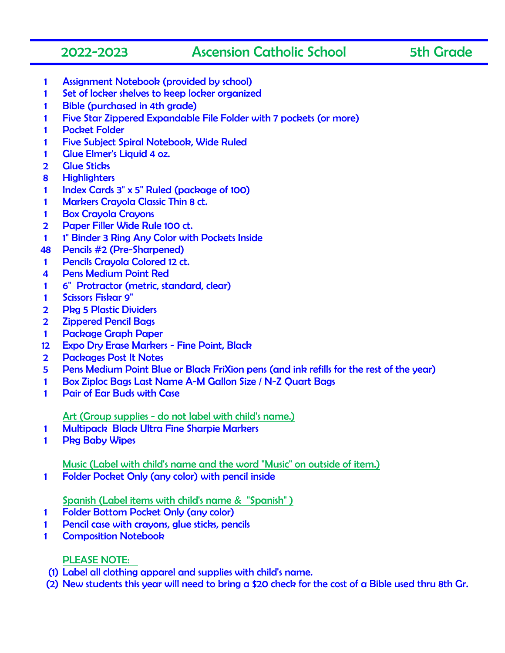## 2022-2023 Ascension Catholic School 5th Grade

- Assignment Notebook (provided by school)
- Set of locker shelves to keep locker organized
- 1 Bible (purchased in 4th grade)
- Five Star Zippered Expandable File Folder with 7 pockets (or more)
- 1 Pocket Folder
- Five Subject Spiral Notebook, Wide Ruled
- Glue Elmer's Liquid 4 oz.
- 2 Glue Sticks
- Highlighters
- Index Cards 3" x 5" Ruled (package of 100)
- 1 Markers Cravola Classic Thin 8 ct.
- Box Crayola Crayons
- Paper Filler Wide Rule 100 ct.
- 1 1" Binder 3 Ring Any Color with Pockets Inside
- Pencils #2 (Pre-Sharpened)
- Pencils Crayola Colored 12 ct.
- Pens Medium Point Red
- 6" Protractor (metric, standard, clear)
- Scissors Fiskar 9"
- Pkg 5 Plastic Dividers
- Zippered Pencil Bags
- Package Graph Paper
- Expo Dry Erase Markers Fine Point, Black
- 2 Packages Post It Notes
- Pens Medium Point Blue or Black FriXion pens (and ink refills for the rest of the year)
- Box Ziploc Bags Last Name A-M Gallon Size / N-Z Quart Bags
- Pair of Ear Buds with Case

## Art (Group supplies - do not label with child's name.)

- Multipack Black Ultra Fine Sharpie Markers
- Pkg Baby Wipes

Music (Label with child's name and the word "Music" on outside of item.)

Folder Pocket Only (any color) with pencil inside

## Spanish (Label items with child's name & "Spanish" )

- Folder Bottom Pocket Only (any color)
- 1 Pencil case with crayons, glue sticks, pencils
- Composition Notebook

- (1) Label all clothing apparel and supplies with child's name.
- (2) New students this year will need to bring a \$20 check for the cost of a Bible used thru 8th Gr.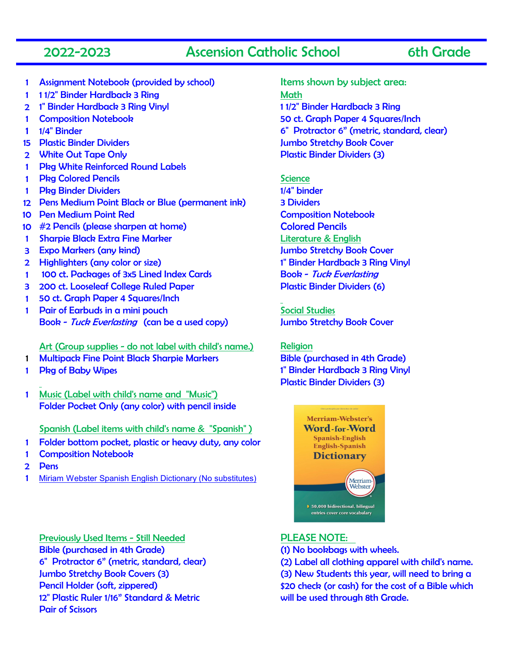## 2022-2023 Ascension Catholic School 6th Grade

- 1 Assignment Notebook (provided by school) Items shown by subject area:
- 1 11/2" Binder Hardback 3 Ring Math
- 2 1" Binder Hardback 3 Ring Vinyl 12" Binder Hardback 3 Ring
- 
- 
- 
- 
- 1 Pkg White Reinforced Round Labels
- 1 Pkg Colored Pencils and Science Science
- 1 Pkg Binder Dividers 1/4" binder
- 12 Pens Medium Point Black or Blue (permanent ink) 3 Dividers
- 10 Pen Medium Point Red Composition Notebook
- 10 #2 Pencils (please sharpen at home) Colored Pencils
- 1 Sharpie Black Extra Fine Marker Literature & English
- 3 Expo Markers (any kind) 3 Expo Markers (any kind)
- 2 Highlighters (any color or size) 1" Binder Hardback 3 Ring Vinyl
- 1 100 ct. Packages of 3x5 Lined Index Cards Book Tuck Everlasting
- 3 200 ct. Looseleaf College Ruled Paper Plastic Binder Dividers (6)
- 1 50 ct. Graph Paper 4 Squares/Inch
- 1 Pair of Earbuds in a mini pouch Social Studies Book - Tuck Everlasting (can be a used copy) Jumbo Stretchy Book Cover

### Art (Group supplies - do not label with child's name.) Religion

- 1 Multipack Fine Point Black Sharpie Markers Bible (purchased in 4th Grade)
- 
- 1 Music (Label with child's name and "Music") Folder Pocket Only (any color) with pencil inside

### Spanish (Label items with child's name & "Spanish" )

- 1 Folder bottom pocket, plastic or heavy duty, any color
- 1 Composition Notebook
- 2 Pens
- 1 [Miriam Webster Spanish English Dictionary \(No substitutes\)](https://www.amazon.com/Merriam-Websters-Spanish-English-Dictionary-copyright-Spanish/dp/0877792976/ref=sr_1_5?dchild=1&keywords=merriam+webster+spanish+english+dictionary&qid=1618505840&sr=8-5)

Previously Used Items - Still Needed PLEASE NOTE: Bible (purchased in 4th Grade) (1) No bookbags with wheels. 6" Protractor 6" (metric, standard, clear) (2) Label all clothing apparel with child's name. 12" Plastic Ruler 1/16" Standard & Metric will be used through 8th Grade. Pair of Scissors

1 Composition Notebook 50 ct. Graph Paper 4 Squares/Inch 1 1/4" Binder 6" Protractor 6" (metric, standard, clear) 15 Plastic Binder Dividers Jumbo Stretchy Book Cover 2 White Out Tape Only **Plastic Binder Dividers (3)** 

1 Pkg of Baby Wipes 1" Binder Hardback 3 Ring Vinyl

Plastic Binder Dividers (3)



Jumbo Stretchy Book Covers (3) (3) New Students this year, will need to bring a Pencil Holder (soft, zippered) \$20 check (or cash) for the cost of a Bible which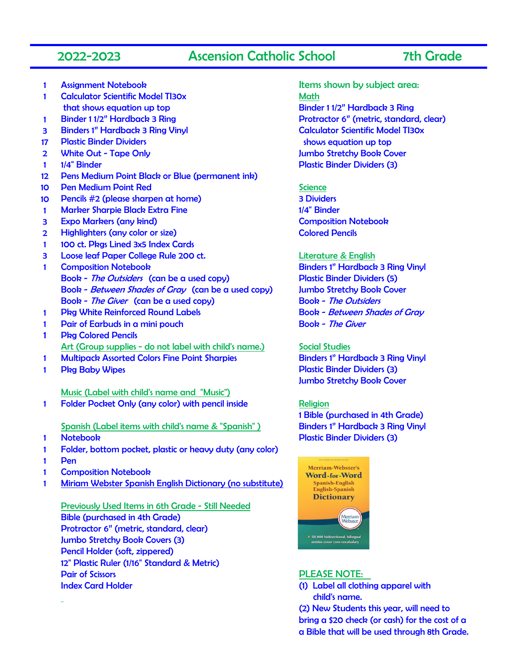## 2022-2023 Ascension Catholic School 7th Grade

- 
- 1 Calculator Scientific Model TI30x **Math** that shows equation up top **Binder 11/2"** Hardback 3 Ring
- 
- 3 Binders 1" Hardback 3 Ring Vinyl Calculator Scientific Model TI30x
- 17 Plastic Binder Dividers shows equation up top
- 
- 
- 12 Pens Medium Point Black or Blue (permanent ink)
- 10 Pen Medium Point Red Science
- 10 Pencils #2 (please sharpen at home) 3 Dividers
- 1 Marker Sharpie Black Extra Fine 1/4 and 1/4" Binder
- 3 Expo Markers (any kind) Composition Notebook
- 2 Highlighters (any color or size) Colored Pencils
- 1 100 ct. Pkgs Lined 3x5 Index Cards
- 3 Loose leaf Paper College Rule 200 ct. Literature & English
- 1 Composition Notebook Binders 1" Hardback 3 Ring Vinyl Book - The Outsiders (can be a used copy) Plastic Binder Dividers (5) Book - Between Shades of Gray (can be a used copy) Jumbo Stretchy Book Cover Book - The Giver (can be a used copy) Book - The Outsiders
- 1 Pkg White Reinforced Round Labels Book Between Shades of Gray
- 1 Pair of Earbuds in a mini pouch Book The Giver
- 1 Pkg Colored Pencils Art (Group supplies - do not label with child's name.) Social Studies
- 1 Multipack Assorted Colors Fine Point Sharpies Binders 1" Hardback 3 Ring Vinyl
- 

Music (Label with child's name and "Music") 1 Folder Pocket Only (any color) with pencil inside Religion

Spanish (Label items with child's name & "Spanish" ) Binders 1" Hardback 3 Ring Vinyl

- 
- 1 Folder, bottom pocket, plastic or heavy duty (any color)
- 1 Pen
- 1 Composition Notebook
- 1 Miriam Webster Spanish English Dictionary (no substitute)

Previously Used Items in 6th Grade - Still Needed Bible (purchased in 4th Grade) Protractor 6" (metric, standard, clear) Jumbo Stretchy Book Covers (3) Pencil Holder (soft, zippered) 12" Plastic Ruler (1/16" Standard & Metric) Pair of Scissors **PLEASE NOTE:** Index Card Holder (1) Label all clothing apparel with

1 Assignment Notebook Items shown by subject area: 1 Binder 1 1/2" Hardback 3 Ring Protractor 6" (metric, standard, clear) 2 Vhite Out - Tape Only Jumbo Stretchy Book Cover 1 1/4" Binder **Plastic Binder Dividers (3)** 

1 Pkg Baby Wipes **Plastic Binder Dividers (3)** Jumbo Stretchy Book Cover

1 Bible (purchased in 4th Grade) 1 Notebook Plastic Binder Dividers (3)



child's name.

(2) New Students this year, will need to bring a \$20 check (or cash) for the cost of a a Bible that will be used through 8th Grade.